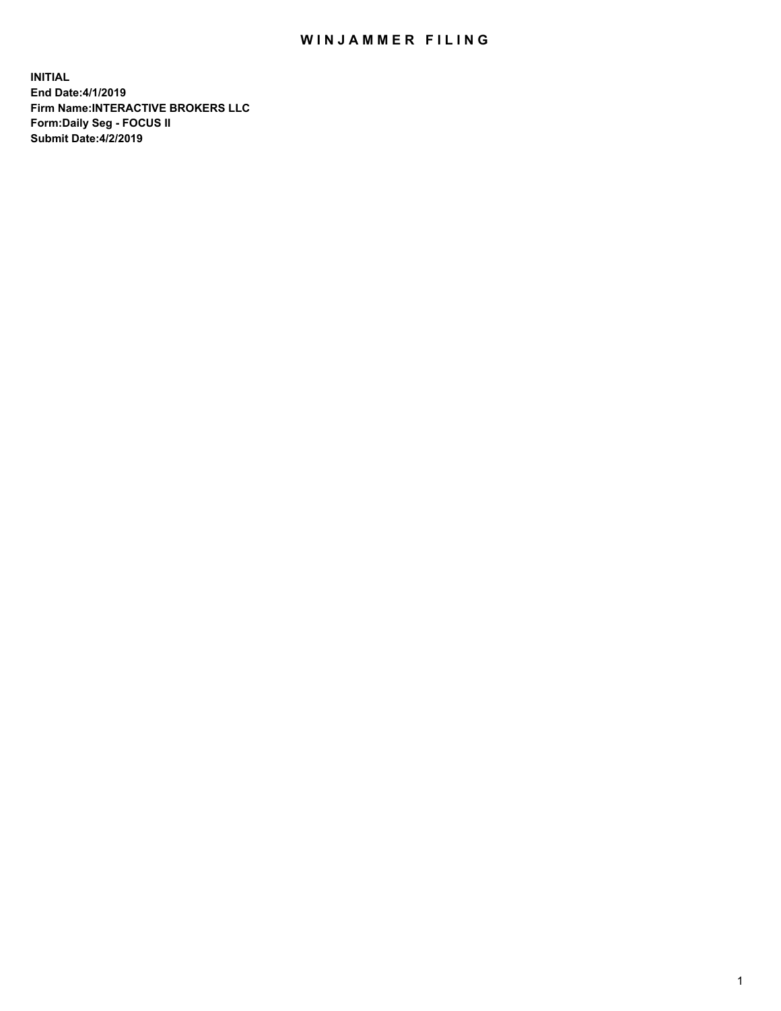## WIN JAMMER FILING

**INITIAL End Date:4/1/2019 Firm Name:INTERACTIVE BROKERS LLC Form:Daily Seg - FOCUS II Submit Date:4/2/2019**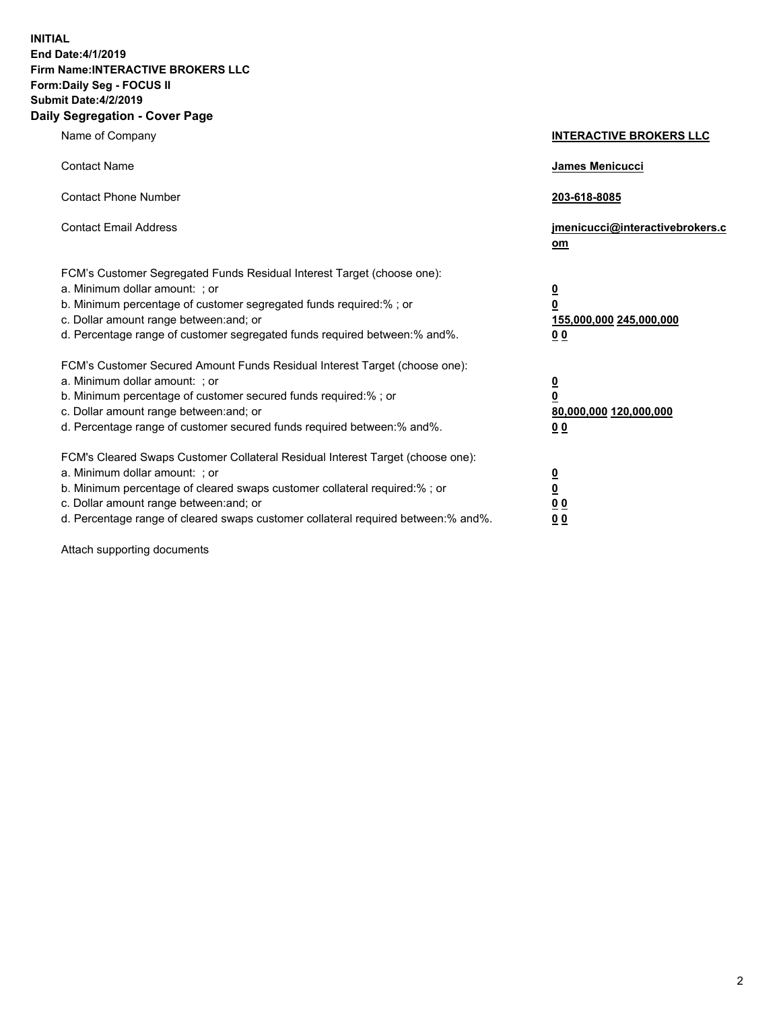**INITIAL End Date:4/1/2019 Firm Name:INTERACTIVE BROKERS LLC Form:Daily Seg - FOCUS II Submit Date:4/2/2019 Daily Segregation - Cover Page**

| Name of Company                                                                                                                                                                                                                                                                                                                | <b>INTERACTIVE BROKERS LLC</b>                                                      |
|--------------------------------------------------------------------------------------------------------------------------------------------------------------------------------------------------------------------------------------------------------------------------------------------------------------------------------|-------------------------------------------------------------------------------------|
| <b>Contact Name</b>                                                                                                                                                                                                                                                                                                            | James Menicucci                                                                     |
| <b>Contact Phone Number</b>                                                                                                                                                                                                                                                                                                    | 203-618-8085                                                                        |
| <b>Contact Email Address</b>                                                                                                                                                                                                                                                                                                   | jmenicucci@interactivebrokers.c<br>om                                               |
| FCM's Customer Segregated Funds Residual Interest Target (choose one):<br>a. Minimum dollar amount: ; or<br>b. Minimum percentage of customer segregated funds required:% ; or<br>c. Dollar amount range between: and; or<br>d. Percentage range of customer segregated funds required between:% and%.                         | $\overline{\mathbf{0}}$<br>$\overline{\mathbf{0}}$<br>155,000,000 245,000,000<br>00 |
| FCM's Customer Secured Amount Funds Residual Interest Target (choose one):<br>a. Minimum dollar amount: ; or<br>b. Minimum percentage of customer secured funds required:% ; or<br>c. Dollar amount range between: and; or<br>d. Percentage range of customer secured funds required between:% and%.                           | $\overline{\mathbf{0}}$<br>$\pmb{0}$<br>80,000,000 120,000,000<br>00                |
| FCM's Cleared Swaps Customer Collateral Residual Interest Target (choose one):<br>a. Minimum dollar amount: ; or<br>b. Minimum percentage of cleared swaps customer collateral required:% ; or<br>c. Dollar amount range between: and; or<br>d. Percentage range of cleared swaps customer collateral required between:% and%. | $\overline{\mathbf{0}}$<br>$\underline{\mathbf{0}}$<br>0 <sub>0</sub><br>00         |

Attach supporting documents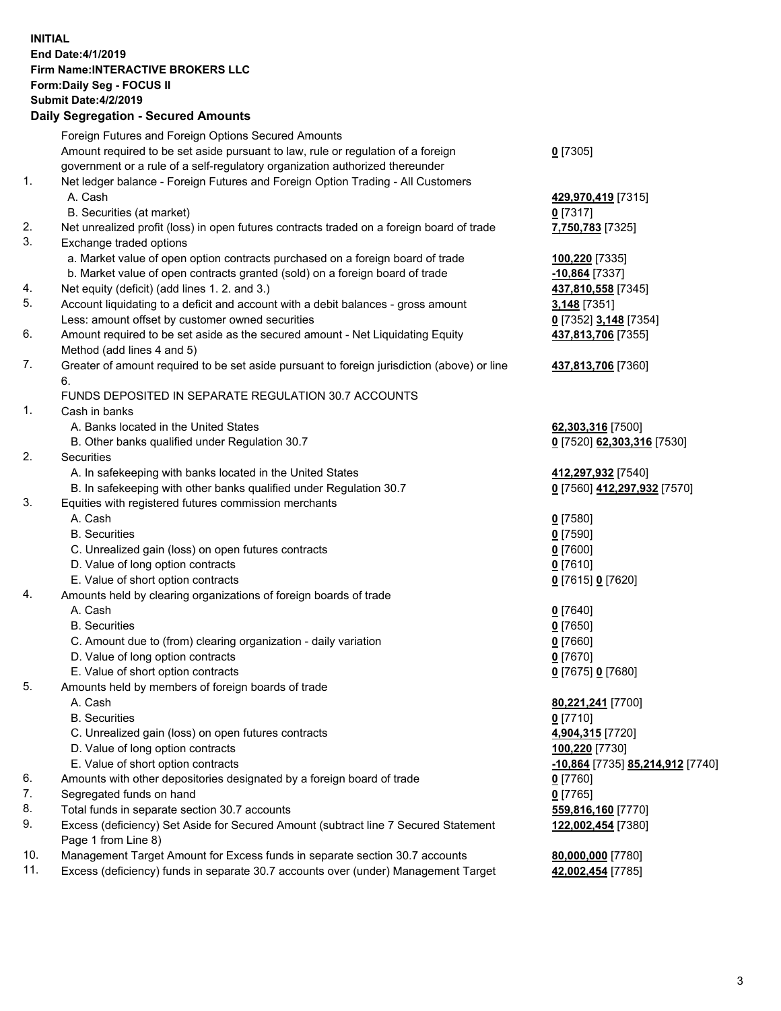## **INITIAL End Date:4/1/2019 Firm Name:INTERACTIVE BROKERS LLC Form:Daily Seg - FOCUS II Submit Date:4/2/2019 Daily Segregation - Secured Amounts**

|                | Dany Ocgregation - Occarea Anioants                                                         |                                  |
|----------------|---------------------------------------------------------------------------------------------|----------------------------------|
|                | Foreign Futures and Foreign Options Secured Amounts                                         |                                  |
|                | Amount required to be set aside pursuant to law, rule or regulation of a foreign            | $0$ [7305]                       |
|                | government or a rule of a self-regulatory organization authorized thereunder                |                                  |
| 1.             | Net ledger balance - Foreign Futures and Foreign Option Trading - All Customers             |                                  |
|                | A. Cash                                                                                     | 429,970,419 [7315]               |
|                | B. Securities (at market)                                                                   | $0$ [7317]                       |
| 2.             | Net unrealized profit (loss) in open futures contracts traded on a foreign board of trade   | 7,750,783 [7325]                 |
| 3.             | Exchange traded options                                                                     |                                  |
|                | a. Market value of open option contracts purchased on a foreign board of trade              | 100,220 [7335]                   |
|                | b. Market value of open contracts granted (sold) on a foreign board of trade                | $-10,864$ [7337]                 |
| 4.             | Net equity (deficit) (add lines 1. 2. and 3.)                                               | 437,810,558 [7345]               |
| 5.             | Account liquidating to a deficit and account with a debit balances - gross amount           | 3,148 [7351]                     |
|                | Less: amount offset by customer owned securities                                            | 0 [7352] 3,148 [7354]            |
| 6.             | Amount required to be set aside as the secured amount - Net Liquidating Equity              | 437,813,706 [7355]               |
|                | Method (add lines 4 and 5)                                                                  |                                  |
| 7.             | Greater of amount required to be set aside pursuant to foreign jurisdiction (above) or line | 437,813,706 [7360]               |
|                | 6.                                                                                          |                                  |
|                | FUNDS DEPOSITED IN SEPARATE REGULATION 30.7 ACCOUNTS                                        |                                  |
| $\mathbf{1}$ . | Cash in banks                                                                               |                                  |
|                | A. Banks located in the United States                                                       | 62,303,316 [7500]                |
|                | B. Other banks qualified under Regulation 30.7                                              | 0 [7520] 62,303,316 [7530]       |
| 2.             | Securities                                                                                  |                                  |
|                | A. In safekeeping with banks located in the United States                                   | 412,297,932 [7540]               |
|                | B. In safekeeping with other banks qualified under Regulation 30.7                          | 0 [7560] 412,297,932 [7570]      |
| 3.             | Equities with registered futures commission merchants                                       |                                  |
|                | A. Cash                                                                                     | $0$ [7580]                       |
|                | <b>B.</b> Securities                                                                        | $0$ [7590]                       |
|                | C. Unrealized gain (loss) on open futures contracts                                         | $0$ [7600]                       |
|                | D. Value of long option contracts                                                           | $0$ [7610]                       |
|                | E. Value of short option contracts                                                          | 0 [7615] 0 [7620]                |
| 4.             | Amounts held by clearing organizations of foreign boards of trade                           |                                  |
|                | A. Cash                                                                                     | $0$ [7640]                       |
|                | <b>B.</b> Securities                                                                        | $0$ [7650]                       |
|                | C. Amount due to (from) clearing organization - daily variation                             | $0$ [7660]                       |
|                | D. Value of long option contracts                                                           | $0$ [7670]                       |
|                | E. Value of short option contracts                                                          | 0 [7675] 0 [7680]                |
| 5.             | Amounts held by members of foreign boards of trade                                          |                                  |
|                | A. Cash                                                                                     | 80,221,241 [7700]                |
|                | <b>B.</b> Securities                                                                        | $0$ [7710]                       |
|                | C. Unrealized gain (loss) on open futures contracts                                         | 4,904,315 [7720]                 |
|                | D. Value of long option contracts                                                           | 100,220 [7730]                   |
|                | E. Value of short option contracts                                                          | -10,864 [7735] 85,214,912 [7740] |
| 6.             | Amounts with other depositories designated by a foreign board of trade                      | $0$ [7760]                       |
| 7.             | Segregated funds on hand                                                                    | $0$ [7765]                       |
| 8.             | Total funds in separate section 30.7 accounts                                               | 559,816,160 [7770]               |
| 9.             | Excess (deficiency) Set Aside for Secured Amount (subtract line 7 Secured Statement         | 122,002,454 [7380]               |
|                | Page 1 from Line 8)                                                                         |                                  |
| 10.<br>11.     | Management Target Amount for Excess funds in separate section 30.7 accounts                 | 80,000,000 [7780]                |
|                | Excess (deficiency) funds in separate 30.7 accounts over (under) Management Target          | 42,002,454 [7785]                |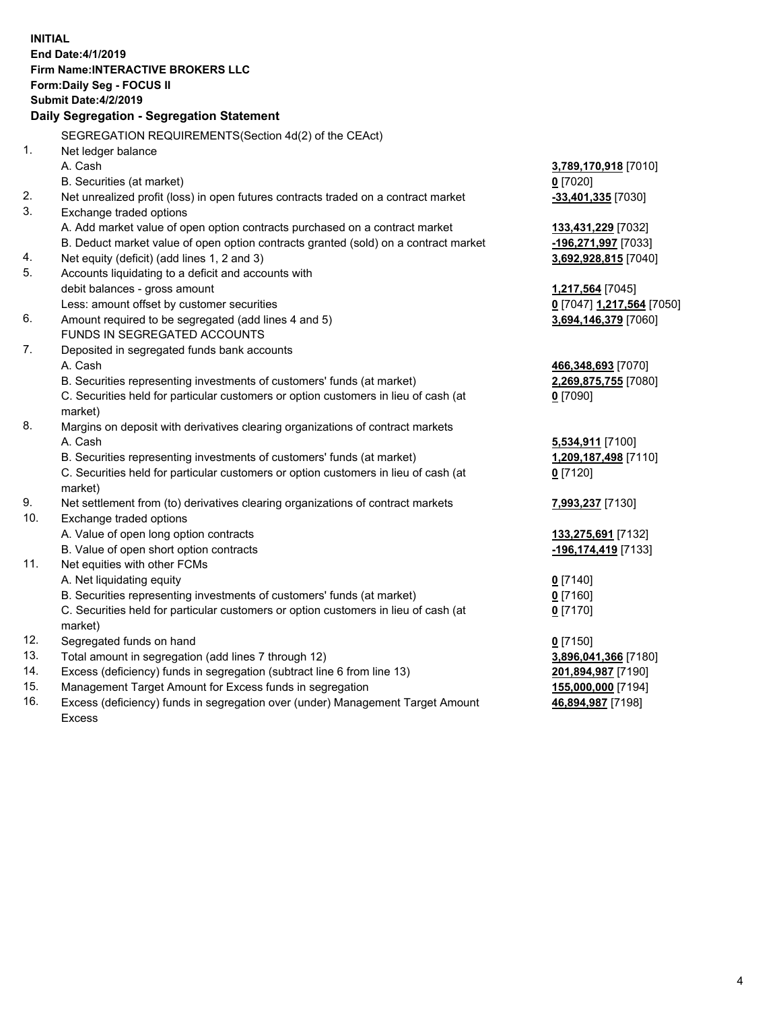| <b>INITIAL</b> |                                                                                     |                           |
|----------------|-------------------------------------------------------------------------------------|---------------------------|
|                | End Date: 4/1/2019                                                                  |                           |
|                | <b>Firm Name:INTERACTIVE BROKERS LLC</b>                                            |                           |
|                | Form: Daily Seg - FOCUS II                                                          |                           |
|                | <b>Submit Date: 4/2/2019</b>                                                        |                           |
|                | Daily Segregation - Segregation Statement                                           |                           |
|                |                                                                                     |                           |
|                | SEGREGATION REQUIREMENTS(Section 4d(2) of the CEAct)                                |                           |
| 1.             | Net ledger balance                                                                  |                           |
|                | A. Cash                                                                             | 3,789,170,918 [7010]      |
|                | B. Securities (at market)                                                           | $0$ [7020]                |
| 2.             | Net unrealized profit (loss) in open futures contracts traded on a contract market  | -33,401,335 [7030]        |
| 3.             | Exchange traded options                                                             |                           |
|                | A. Add market value of open option contracts purchased on a contract market         | 133,431,229 [7032]        |
|                | B. Deduct market value of open option contracts granted (sold) on a contract market | -196,271,997 [7033]       |
| 4.             | Net equity (deficit) (add lines 1, 2 and 3)                                         | 3,692,928,815 [7040]      |
| 5.             | Accounts liquidating to a deficit and accounts with                                 |                           |
|                | debit balances - gross amount                                                       | 1,217,564 [7045]          |
|                | Less: amount offset by customer securities                                          | 0 [7047] 1,217,564 [7050] |
| 6.             | Amount required to be segregated (add lines 4 and 5)                                | 3,694,146,379 [7060]      |
|                | FUNDS IN SEGREGATED ACCOUNTS                                                        |                           |
| 7.             | Deposited in segregated funds bank accounts                                         |                           |
|                | A. Cash                                                                             | 466,348,693 [7070]        |
|                | B. Securities representing investments of customers' funds (at market)              | 2,269,875,755 [7080]      |
|                | C. Securities held for particular customers or option customers in lieu of cash (at | $0$ [7090]                |
|                | market)                                                                             |                           |
| 8.             | Margins on deposit with derivatives clearing organizations of contract markets      |                           |
|                | A. Cash                                                                             | 5,534,911 [7100]          |
|                | B. Securities representing investments of customers' funds (at market)              | 1,209,187,498 [7110]      |
|                | C. Securities held for particular customers or option customers in lieu of cash (at | $0$ [7120]                |
|                | market)                                                                             |                           |
| 9.             | Net settlement from (to) derivatives clearing organizations of contract markets     | 7,993,237 [7130]          |
| 10.            | Exchange traded options                                                             |                           |
|                | A. Value of open long option contracts                                              | 133,275,691 [7132]        |
|                | B. Value of open short option contracts                                             | -196,174,419 [7133]       |
| 11.            | Net equities with other FCMs                                                        |                           |
|                | A. Net liquidating equity                                                           | $0$ [7140]                |
|                | B. Securities representing investments of customers' funds (at market)              | $0$ [7160]                |
|                | C. Securities held for particular customers or option customers in lieu of cash (at | $0$ [7170]                |
|                | market)                                                                             |                           |
| 12.            | Segregated funds on hand                                                            | $0$ [7150]                |
| 13.            | Total amount in segregation (add lines 7 through 12)                                | 3,896,041,366 [7180]      |
| 14.            | Excess (deficiency) funds in segregation (subtract line 6 from line 13)             | 201,894,987 [7190]        |
| 15.            | Management Target Amount for Excess funds in segregation                            | 155,000,000 [7194]        |
| 16.            | Excess (deficiency) funds in segregation over (under) Management Target Amount      | 46,894,987 [7198]         |

16. Excess (deficiency) funds in segregation over (under) Management Target Amount Excess